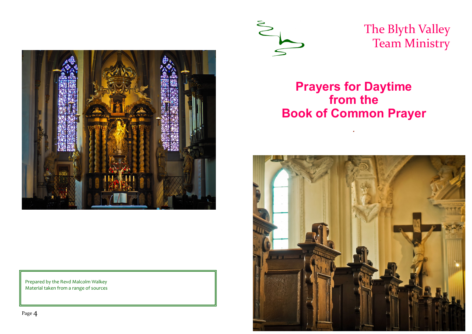





The Blyth Valley Team Ministry

# **Prayers for Daytime from the Book of Common Prayer**

*.*